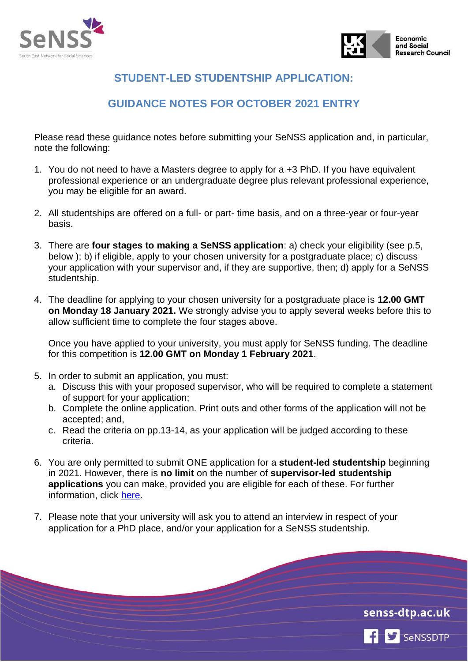



# **STUDENT-LED STUDENTSHIP APPLICATION:**

# **GUIDANCE NOTES FOR OCTOBER 2021 ENTRY**

Please read these guidance notes before submitting your SeNSS application and, in particular, note the following:

- 1. You do not need to have a Masters degree to apply for a +3 PhD. If you have equivalent professional experience or an undergraduate degree plus relevant professional experience, you may be eligible for an award.
- 2. All studentships are offered on a full- or part- time basis, and on a three-year or four-year basis.
- 3. There are **four stages to making a SeNSS application**: a) check your eligibility (see p.5, below ); b) if eligible, apply to your chosen university for a postgraduate place; c) discuss your application with your supervisor and, if they are supportive, then; d) apply for a SeNSS studentship.
- 4. The deadline for applying to your chosen university for a postgraduate place is **12.00 GMT on Monday 18 January 2021.** We strongly advise you to apply several weeks before this to allow sufficient time to complete the four stages above.

Once you have applied to your university, you must apply for SeNSS funding. The deadline for this competition is **12.00 GMT on Monday 1 February 2021**.

- 5. In order to submit an application, you must:
	- a. Discuss this with your proposed supervisor, who will be required to complete a statement of support for your application;
	- b. Complete the online application. Print outs and other forms of the application will not be accepted; and,
	- c. Read the criteria on pp.13-14, as your application will be judged according to these criteria.
- 6. You are only permitted to submit ONE application for a **student-led studentship** beginning in 2021. However, there is **no limit** on the number of **supervisor-led studentship applications** you can make, provided you are eligible for each of these. For further information, click [here.](https://senss-dtp.ac.uk/applying-for-a-senss-collaborative-studentship)
- 7. Please note that your university will ask you to attend an interview in respect of your application for a PhD place, and/or your application for a SeNSS studentship.



SeNSSDTP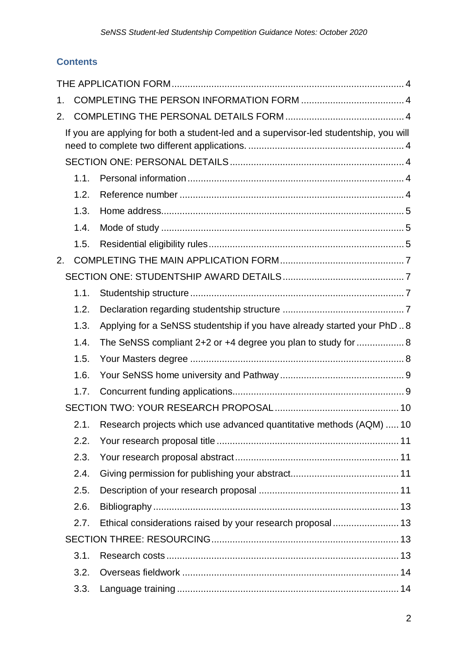# **Contents**

| 1. |      |                                                                                       |  |
|----|------|---------------------------------------------------------------------------------------|--|
| 2. |      |                                                                                       |  |
|    |      | If you are applying for both a student-led and a supervisor-led studentship, you will |  |
|    |      |                                                                                       |  |
|    | 1.1. |                                                                                       |  |
|    | 1.2. |                                                                                       |  |
|    | 1.3. |                                                                                       |  |
|    | 1.4. |                                                                                       |  |
|    | 1.5. |                                                                                       |  |
| 2. |      |                                                                                       |  |
|    |      |                                                                                       |  |
|    | 1.1. |                                                                                       |  |
|    | 1.2. |                                                                                       |  |
|    | 1.3. | Applying for a SeNSS studentship if you have already started your PhD8                |  |
|    | 1.4. | The SeNSS compliant 2+2 or +4 degree you plan to study for  8                         |  |
|    | 1.5. |                                                                                       |  |
|    | 1.6. |                                                                                       |  |
|    | 1.7. |                                                                                       |  |
|    |      |                                                                                       |  |
|    | 2.1. | Research projects which use advanced quantitative methods (AQM)  10                   |  |
|    | 2.2. |                                                                                       |  |
|    | 2.3. |                                                                                       |  |
|    | 2.4. |                                                                                       |  |
|    | 2.5. |                                                                                       |  |
|    | 2.6. |                                                                                       |  |
|    | 2.7. |                                                                                       |  |
|    |      |                                                                                       |  |
|    | 3.1. |                                                                                       |  |
|    | 3.2. |                                                                                       |  |
|    | 3.3. |                                                                                       |  |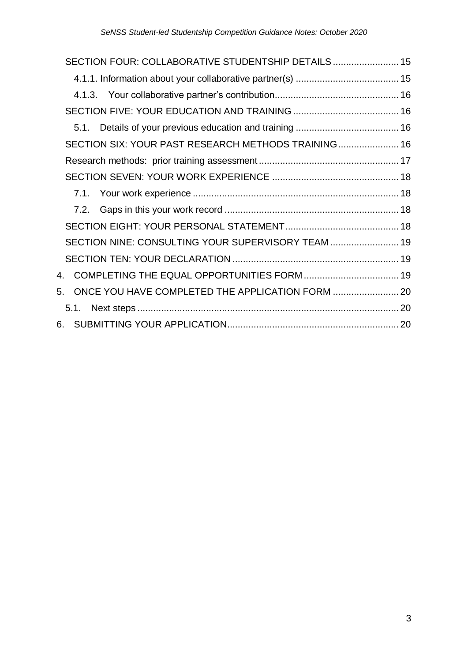| SECTION FOUR: COLLABORATIVE STUDENTSHIP DETAILS 15     |  |
|--------------------------------------------------------|--|
|                                                        |  |
|                                                        |  |
|                                                        |  |
|                                                        |  |
| SECTION SIX: YOUR PAST RESEARCH METHODS TRAINING 16    |  |
|                                                        |  |
|                                                        |  |
|                                                        |  |
|                                                        |  |
|                                                        |  |
| SECTION NINE: CONSULTING YOUR SUPERVISORY TEAM  19     |  |
|                                                        |  |
|                                                        |  |
| ONCE YOU HAVE COMPLETED THE APPLICATION FORM  20<br>5. |  |
|                                                        |  |
|                                                        |  |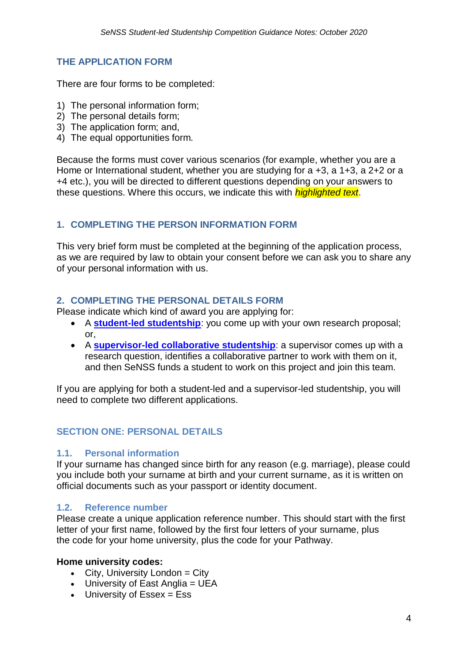### <span id="page-3-0"></span>**THE APPLICATION FORM**

There are four forms to be completed:

- 1) The personal information form;
- 2) The personal details form;
- 3) The application form; and,
- 4) The equal opportunities form.

Because the forms must cover various scenarios (for example, whether you are a Home or International student, whether you are studying for a  $+3$ , a  $1+3$ , a  $2+2$  or a +4 etc.), you will be directed to different questions depending on your answers to these questions. Where this occurs, we indicate this with *highlighted text*.

### <span id="page-3-1"></span>**1. COMPLETING THE PERSON INFORMATION FORM**

This very brief form must be completed at the beginning of the application process, as we are required by law to obtain your consent before we can ask you to share any of your personal information with us.

#### <span id="page-3-2"></span>**2. COMPLETING THE PERSONAL DETAILS FORM**

Please indicate which kind of award you are applying for:

- A **[student-led studentship](https://senss-dtp.ac.uk/apply)**: you come up with your own research proposal; or,
- A **[supervisor-led collaborative studentship](https://senss-dtp.ac.uk/applying-for-a-senss-collaborative-studentship)**: a supervisor comes up with a research question, identifies a collaborative partner to work with them on it, and then SeNSS funds a student to work on this project and join this team.

<span id="page-3-3"></span>If you are applying for both a student-led and a supervisor-led studentship, you will need to complete two different applications.

## <span id="page-3-4"></span>**SECTION ONE: PERSONAL DETAILS**

#### <span id="page-3-5"></span>**1.1. Personal information**

If your surname has changed since birth for any reason (e.g. marriage), please could you include both your surname at birth and your current surname, as it is written on official documents such as your passport or identity document.

#### <span id="page-3-6"></span>**1.2. Reference number**

Please create a unique application reference number. This should start with the first letter of your first name, followed by the first four letters of your surname, plus the code for your home university, plus the code for your Pathway.

#### **Home university codes:**

- $\bullet$  City, University London = City
- $\bullet$  University of East Anglia = UEA
- $\bullet$  University of Essex = Ess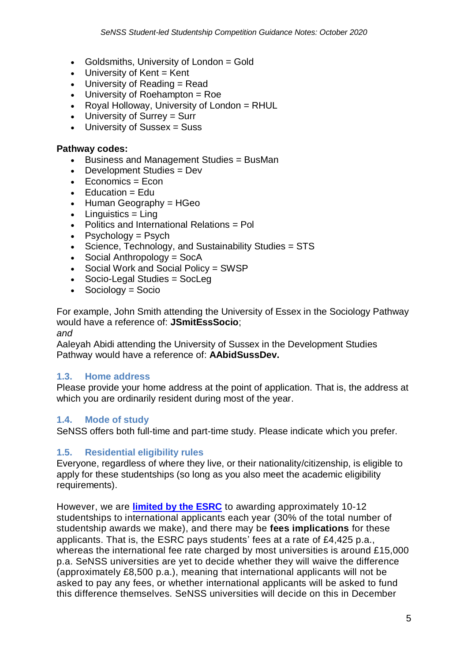- Goldsmiths, University of London = Gold
- $\bullet$  University of Kent = Kent
- University of Reading = Read
- $\bullet$  University of Roehampton = Roe
- Royal Holloway, University of London = RHUL
- University of Surrey = Surr
- University of Sussex = Suss

#### **Pathway codes:**

- Business and Management Studies = BusMan
- Development Studies = Dev
- $\bullet$  Economics = Econ
- $\bullet$  Education = Edu
- $\bullet$  Human Geography = HGeo
- $\bullet$  Linguistics = Ling
- Politics and International Relations = Pol
- Psychology =  $P$ sych
- Science, Technology, and Sustainability Studies = STS
- Social Anthropology = SocA
- Social Work and Social Policy = SWSP
- Socio-Legal Studies = SocLeg
- $\bullet$  Sociology = Socio

For example, John Smith attending the University of Essex in the Sociology Pathway would have a reference of: **JSmitEssSocio**;

*and*

Aaleyah Abidi attending the University of Sussex in the Development Studies Pathway would have a reference of: **AAbidSussDev.**

## <span id="page-4-0"></span>**1.3. Home address**

Please provide your home address at the point of application. That is, the address at which you are ordinarily resident during most of the year.

## <span id="page-4-1"></span>**1.4. Mode of study**

SeNSS offers both full-time and part-time study. Please indicate which you prefer.

## <span id="page-4-2"></span>**1.5. Residential eligibility rules**

Everyone, regardless of where they live, or their nationality/citizenship, is eligible to apply for these studentships (so long as you also meet the academic eligibility requirements).

However, we are **limited [by the ESRC](https://www.ukri.org/files/international-eligibility-implementation-guidance-for-tg-holders/)** to awarding approximately 10-12 studentships to international applicants each year (30% of the total number of studentship awards we make), and there may be **fees implications** for these applicants. That is, the ESRC pays students' fees at a rate of £4,425 p.a., whereas the international fee rate charged by most universities is around £15,000 p.a. SeNSS universities are yet to decide whether they will waive the difference (approximately £8,500 p.a.), meaning that international applicants will not be asked to pay any fees, or whether international applicants will be asked to fund this difference themselves. SeNSS universities will decide on this in December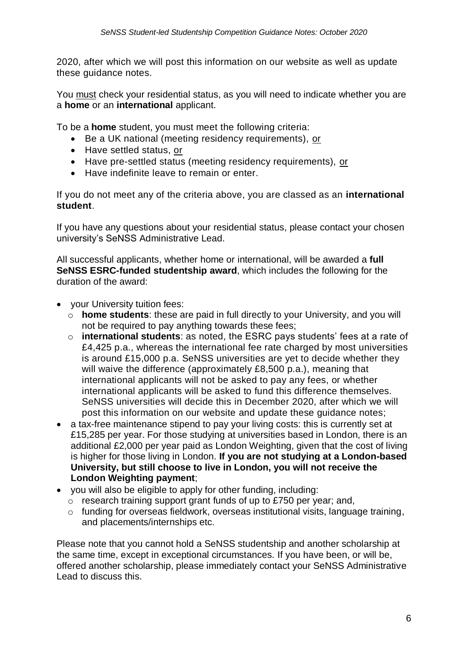2020, after which we will post this information on our website as well as update these guidance notes.

You must check your residential status, as you will need to indicate whether you are a **home** or an **international** applicant.

To be a **home** student, you must meet the following criteria:

- Be a UK national (meeting residency requirements), or
- Have settled status, or
- Have pre-settled status (meeting residency requirements), or
- **Have indefinite leave to remain or enter.**

If you do not meet any of the criteria above, you are classed as an **international student**.

If you have any questions about your residential status, please contact your chosen university's SeNSS Administrative Lead.

All successful applicants, whether home or international, will be awarded a **full SeNSS ESRC-funded studentship award**, which includes the following for the duration of the award:

- your University tuition fees:
	- o **home students**: these are paid in full directly to your University, and you will not be required to pay anything towards these fees;
	- o **international students**: as noted, the ESRC pays students' fees at a rate of £4,425 p.a., whereas the international fee rate charged by most universities is around £15,000 p.a. SeNSS universities are yet to decide whether they will waive the difference (approximately £8,500 p.a.), meaning that international applicants will not be asked to pay any fees, or whether international applicants will be asked to fund this difference themselves. SeNSS universities will decide this in December 2020, after which we will post this information on our website and update these guidance notes;
- a tax-free maintenance stipend to pay your living costs: this is currently set at £15,285 per year. For those studying at universities based in London, there is an additional £2,000 per year paid as London Weighting, given that the cost of living is higher for those living in London. **If you are not studying at a London-based University, but still choose to live in London, you will not receive the London Weighting payment**;
- you will also be eligible to apply for other funding, including:
	- $\circ$  research training support grant funds of up to £750 per year; and,
	- o funding for overseas fieldwork, overseas institutional visits, language training, and placements/internships etc.

Please note that you cannot hold a SeNSS studentship and another scholarship at the same time, except in exceptional circumstances. If you have been, or will be, offered another scholarship, please immediately contact your SeNSS Administrative Lead to discuss this.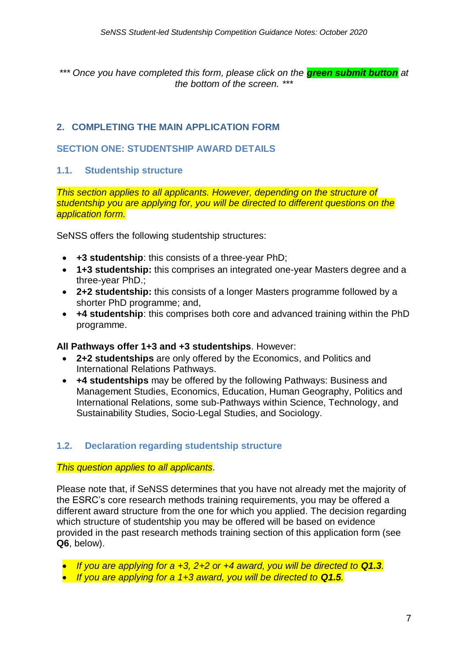*\*\*\* Once you have completed this form, please click on the green submit button at the bottom of the screen. \*\*\**

## <span id="page-6-0"></span>**2. COMPLETING THE MAIN APPLICATION FORM**

#### <span id="page-6-1"></span>**SECTION ONE: STUDENTSHIP AWARD DETAILS**

### <span id="page-6-2"></span>**1.1. Studentship structure**

*This section applies to all applicants. However, depending on the structure of studentship you are applying for, you will be directed to different questions on the application form.*

SeNSS offers the following studentship structures:

- **+3 studentship**: this consists of a three-year PhD;
- **1+3 studentship:** this comprises an integrated one-year Masters degree and a three-year PhD.;
- **2+2 studentship:** this consists of a longer Masters programme followed by a shorter PhD programme; and,
- **+4 studentship**: this comprises both core and advanced training within the PhD programme.

#### **All Pathways offer 1+3 and +3 studentships**. However:

- **2+2 studentships** are only offered by the Economics, and Politics and International Relations Pathways.
- **+4 studentships** may be offered by the following Pathways: Business and Management Studies, Economics, Education, Human Geography, Politics and International Relations, some sub-Pathways within Science, Technology, and Sustainability Studies, Socio-Legal Studies, and Sociology.

## <span id="page-6-3"></span>**1.2. Declaration regarding studentship structure**

#### *This question applies to all applicants.*

Please note that, if SeNSS determines that you have not already met the majority of the ESRC's core research methods training requirements, you may be offered a different award structure from the one for which you applied. The decision regarding which structure of studentship you may be offered will be based on evidence provided in the past research methods training section of this application form (see **Q6**, below).

- If you are applying for a +3, 2+2 or +4 award, you will be directed to **Q1.3***.*
- **•** If you are applying for a 1+3 award, you will be directed to **Q1.5***.*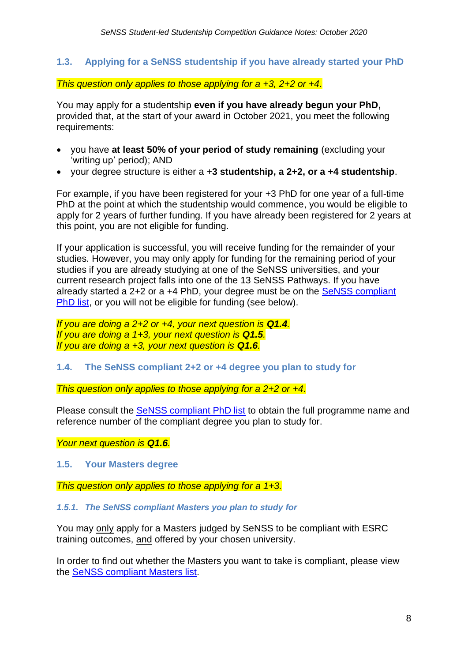#### <span id="page-7-0"></span>**1.3. Applying for a SeNSS studentship if you have already started your PhD**

#### *This question only applies to those applying for a +3, 2+2 or +4.*

You may apply for a studentship **even if you have already begun your PhD,**  provided that, at the start of your award in October 2021, you meet the following requirements:

- you have **at least 50% of your period of study remaining** (excluding your 'writing up' period); AND
- your degree structure is either a +**3 studentship, a 2+2, or a +4 studentship**.

For example, if you have been registered for your +3 PhD for one year of a full-time PhD at the point at which the studentship would commence, you would be eligible to apply for 2 years of further funding. If you have already been registered for 2 years at this point, you are not eligible for funding.

If your application is successful, you will receive funding for the remainder of your studies. However, you may only apply for funding for the remaining period of your studies if you are already studying at one of the SeNSS universities, and your current research project falls into one of the 13 SeNSS Pathways. If you have already started a 2+2 or a +4 PhD, your degree must be on the [SeNSS compliant](https://admin30198.wixsite.com/compliance/phd-compliance)  [PhD list,](https://admin30198.wixsite.com/compliance/phd-compliance) or you will not be eligible for funding (see below).

*If you are doing a 2+2 or +4, your next question is Q1.4. If you are doing a 1+3, your next question is Q1.5. If you are doing a +3, your next question is Q1.6.*

#### <span id="page-7-1"></span>**1.4. The SeNSS compliant 2+2 or +4 degree you plan to study for**

*This question only applies to those applying for a 2+2 or +4.*

Please consult the [SeNSS compliant PhD list](https://admin30198.wixsite.com/compliance/phd-compliance) to obtain the full programme name and reference number of the compliant degree you plan to study for.

*Your next question is Q1.6.*

<span id="page-7-2"></span>**1.5. Your Masters degree**

*This question only applies to those applying for a 1+3.*

*1.5.1. The SeNSS compliant Masters you plan to study for*

You may only apply for a Masters judged by SeNSS to be compliant with ESRC training outcomes, and offered by your chosen university.

In order to find out whether the Masters you want to take is compliant, please view the [SeNSS compliant Masters list.](https://admin30198.wixsite.com/compliance)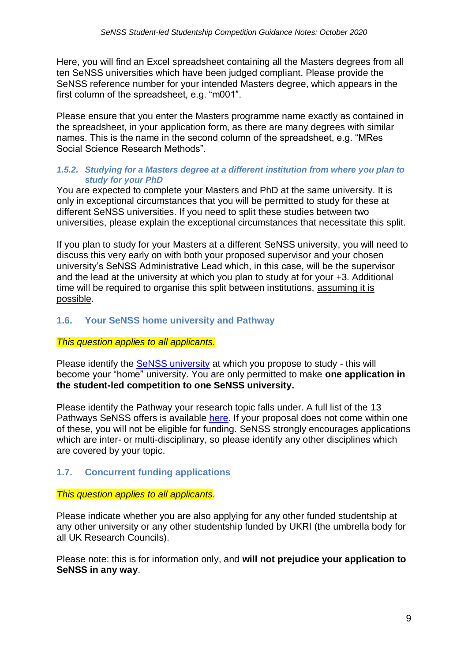Here, you will find an Excel spreadsheet containing all the Masters degrees from all ten SeNSS universities which have been judged compliant. Please provide the SeNSS reference number for your intended Masters degree, which appears in the first column of the spreadsheet, e.g. "m001".

Please ensure that you enter the Masters programme name exactly as contained in the spreadsheet, in your application form, as there are many degrees with similar names. This is the name in the second column of the spreadsheet, e.g. "MRes Social Science Research Methods".

#### *1.5.2. Studying for a Masters degree at a different institution from where you plan to study for your PhD*

You are expected to complete your Masters and PhD at the same university. It is only in exceptional circumstances that you will be permitted to study for these at different SeNSS universities. If you need to split these studies between two universities, please explain the exceptional circumstances that necessitate this split.

If you plan to study for your Masters at a different SeNSS university, you will need to discuss this very early on with both your proposed supervisor and your chosen university's SeNSS Administrative Lead which, in this case, will be the supervisor and the lead at the university at which you plan to study at for your +3. Additional time will be required to organise this split between institutions, assuming it is possible.

### <span id="page-8-0"></span>**1.6. Your SeNSS home university and Pathway**

#### *This question applies to all applicants.*

Please identify the [SeNSS university](https://senss-dtp.ac.uk/senss-universities) at which you propose to study - this will become your "home" university. You are only permitted to make **one application in the student-led competition to one SeNSS university.**

Please identify the Pathway your research topic falls under. A full list of the 13 Pathways SeNSS offers is available [here.](https://senss-dtp.ac.uk/senss-pathways) If your proposal does not come within one of these, you will not be eligible for funding. SeNSS strongly encourages applications which are inter- or multi-disciplinary, so please identify any other disciplines which are covered by your topic.

#### <span id="page-8-1"></span>**1.7. Concurrent funding applications**

#### *This question applies to all applicants.*

Please indicate whether you are also applying for any other funded studentship at any other university or any other studentship funded by UKRI (the umbrella body for all UK Research Councils).

Please note: this is for information only, and **will not prejudice your application to SeNSS in any way**.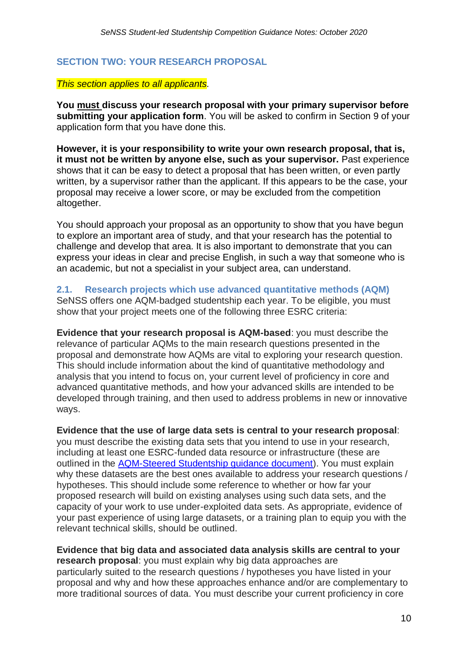## <span id="page-9-0"></span>**SECTION TWO: YOUR RESEARCH PROPOSAL**

#### *This section applies to all applicants.*

**You must discuss your research proposal with your primary supervisor before submitting your application form**. You will be asked to confirm in Section 9 of your application form that you have done this.

**However, it is your responsibility to write your own research proposal, that is, it must not be written by anyone else, such as your supervisor.** Past experience shows that it can be easy to detect a proposal that has been written, or even partly written, by a supervisor rather than the applicant. If this appears to be the case, your proposal may receive a lower score, or may be excluded from the competition altogether.

You should approach your proposal as an opportunity to show that you have begun to explore an important area of study, and that your research has the potential to challenge and develop that area. It is also important to demonstrate that you can express your ideas in clear and precise English, in such a way that someone who is an academic, but not a specialist in your subject area, can understand.

<span id="page-9-1"></span>**2.1. Research projects which use advanced quantitative methods (AQM)** SeNSS offers one AQM-badged studentship each year. To be eligible, you must show that your project meets one of the following three ESRC criteria:

**Evidence that your research proposal is AQM-based**: you must describe the relevance of particular AQMs to the main research questions presented in the proposal and demonstrate how AQMs are vital to exploring your research question. This should include information about the kind of quantitative methodology and analysis that you intend to focus on, your current level of proficiency in core and advanced quantitative methods, and how your advanced skills are intended to be developed through training, and then used to address problems in new or innovative ways.

**Evidence that the use of large data sets is central to your research proposal**: you must describe the existing data sets that you intend to use in your research, including at least one ESRC-funded data resource or infrastructure (these are outlined in the [AQM-Steered Studentship guidance document\)](https://senss.fluidreview.com/pm/resource/eyJoZnJlIjogOTUwNjc0MTEsICJ2cSI6IDE1Mzg3OX0/). You must explain why these datasets are the best ones available to address your research questions / hypotheses. This should include some reference to whether or how far your proposed research will build on existing analyses using such data sets, and the capacity of your work to use under-exploited data sets. As appropriate, evidence of your past experience of using large datasets, or a training plan to equip you with the relevant technical skills, should be outlined.

**Evidence that big data and associated data analysis skills are central to your research proposal**: you must explain why big data approaches are particularly suited to the research questions / hypotheses you have listed in your proposal and why and how these approaches enhance and/or are complementary to more traditional sources of data. You must describe your current proficiency in core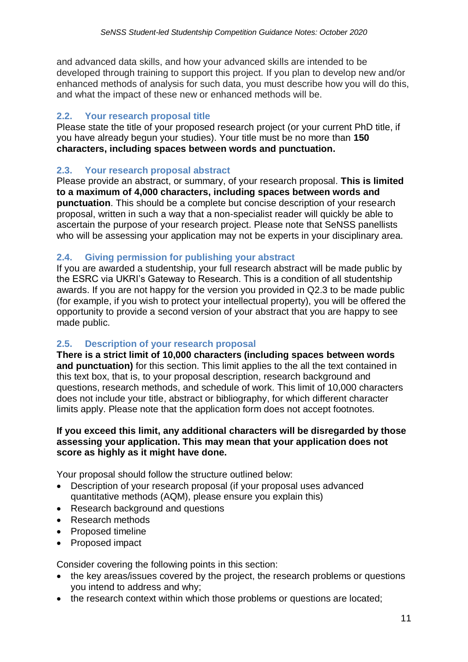and advanced data skills, and how your advanced skills are intended to be developed through training to support this project. If you plan to develop new and/or enhanced methods of analysis for such data, you must describe how you will do this, and what the impact of these new or enhanced methods will be.

## <span id="page-10-0"></span>**2.2. Your research proposal title**

Please state the title of your proposed research project (or your current PhD title, if you have already begun your studies). Your title must be no more than **150 characters, including spaces between words and punctuation.**

## <span id="page-10-1"></span>**2.3. Your research proposal abstract**

Please provide an abstract, or summary, of your research proposal. **This is limited to a maximum of 4,000 characters, including spaces between words and punctuation**. This should be a complete but concise description of your research proposal, written in such a way that a non-specialist reader will quickly be able to ascertain the purpose of your research project. Please note that SeNSS panellists who will be assessing your application may not be experts in your disciplinary area.

## <span id="page-10-2"></span>**2.4. Giving permission for publishing your abstract**

If you are awarded a studentship, your full research abstract will be made public by the ESRC via UKRI's Gateway to Research. This is a condition of all studentship awards. If you are not happy for the version you provided in Q2.3 to be made public (for example, if you wish to protect your intellectual property), you will be offered the opportunity to provide a second version of your abstract that you are happy to see made public.

## <span id="page-10-3"></span>**2.5. Description of your research proposal**

**There is a strict limit of 10,000 characters (including spaces between words and punctuation)** for this section. This limit applies to the all the text contained in this text box, that is, to your proposal description, research background and questions, research methods, and schedule of work. This limit of 10,000 characters does not include your title, abstract or bibliography, for which different character limits apply. Please note that the application form does not accept footnotes.

#### **If you exceed this limit, any additional characters will be disregarded by those assessing your application. This may mean that your application does not score as highly as it might have done.**

Your proposal should follow the structure outlined below:

- Description of your research proposal (if your proposal uses advanced quantitative methods (AQM), please ensure you explain this)
- Research background and questions
- Research methods
- Proposed timeline
- Proposed impact

Consider covering the following points in this section:

- the key areas/issues covered by the project, the research problems or questions you intend to address and why;
- the research context within which those problems or questions are located;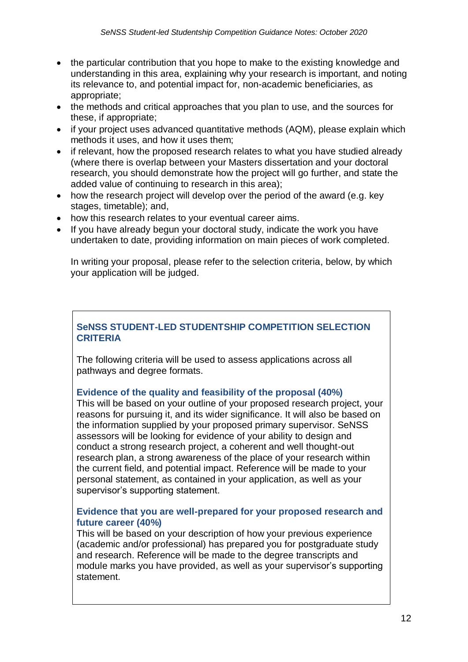- the particular contribution that you hope to make to the existing knowledge and understanding in this area, explaining why your research is important, and noting its relevance to, and potential impact for, non-academic beneficiaries, as appropriate;
- the methods and critical approaches that you plan to use, and the sources for these, if appropriate;
- if your project uses advanced quantitative methods (AQM), please explain which methods it uses, and how it uses them;
- if relevant, how the proposed research relates to what you have studied already (where there is overlap between your Masters dissertation and your doctoral research, you should demonstrate how the project will go further, and state the added value of continuing to research in this area);
- how the research project will develop over the period of the award (e.g. key stages, timetable); and,
- how this research relates to your eventual career aims.
- If you have already begun your doctoral study, indicate the work you have undertaken to date, providing information on main pieces of work completed.

In writing your proposal, please refer to the selection criteria, below, by which your application will be judged.

## **SeNSS STUDENT-LED STUDENTSHIP COMPETITION SELECTION CRITERIA**

The following criteria will be used to assess applications across all pathways and degree formats.

## **Evidence of the quality and feasibility of the proposal (40%)**

This will be based on your outline of your proposed research project, your reasons for pursuing it, and its wider significance. It will also be based on the information supplied by your proposed primary supervisor. SeNSS assessors will be looking for evidence of your ability to design and conduct a strong research project, a coherent and well thought-out research plan, a strong awareness of the place of your research within the current field, and potential impact. Reference will be made to your personal statement, as contained in your application, as well as your supervisor's supporting statement.

### **Evidence that you are well-prepared for your proposed research and future career (40%)**

This will be based on your description of how your previous experience (academic and/or professional) has prepared you for postgraduate study and research. Reference will be made to the degree transcripts and module marks you have provided, as well as your supervisor's supporting statement.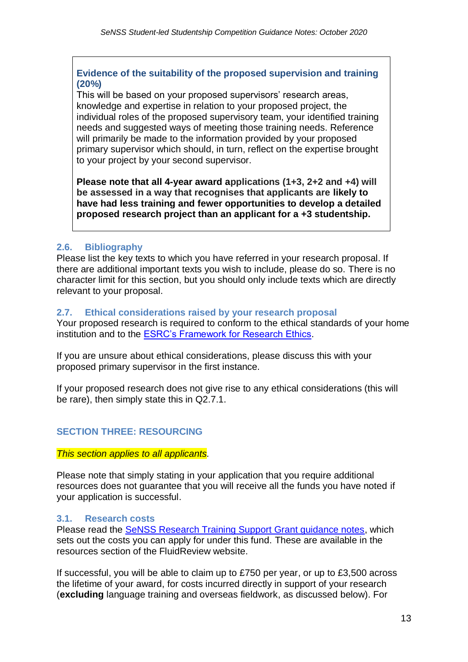### **Evidence of the suitability of the proposed supervision and training (20%)**

This will be based on your proposed supervisors' research areas, knowledge and expertise in relation to your proposed project, the individual roles of the proposed supervisory team, your identified training needs and suggested ways of meeting those training needs. Reference will primarily be made to the information provided by your proposed primary supervisor which should, in turn, reflect on the expertise brought to your project by your second supervisor.

**Please note that all 4-year award applications (1+3, 2+2 and +4) will be assessed in a way that recognises that applicants are likely to have had less training and fewer opportunities to develop a detailed proposed research project than an applicant for a +3 studentship.**

## <span id="page-12-0"></span>**2.6. Bibliography**

Please list the key texts to which you have referred in your research proposal. If there are additional important texts you wish to include, please do so. There is no character limit for this section, but you should only include texts which are directly relevant to your proposal.

#### <span id="page-12-1"></span>**2.7. Ethical considerations raised by your research proposal**

Your proposed research is required to conform to the ethical standards of your home institution and to the [ESRC's Framework for Research Ethics.](http://www.esrc.ac.uk/funding/guidance-for-applicants/research-ethics/)

If you are unsure about ethical considerations, please discuss this with your proposed primary supervisor in the first instance.

If your proposed research does not give rise to any ethical considerations (this will be rare), then simply state this in Q2.7.1.

## <span id="page-12-2"></span>**SECTION THREE: RESOURCING**

*This section applies to all applicants.*

Please note that simply stating in your application that you require additional resources does not guarantee that you will receive all the funds you have noted if your application is successful.

#### <span id="page-12-3"></span>**3.1. Research costs**

Please read the [SeNSS Research Training Support Grant guidance notes,](https://senss.fluidreview.com/pm/resource/eyJoZnJlIjogOTUwNjc0MTEsICJ2cSI6IDE1Mzg3Nn0/) which sets out the costs you can apply for under this fund. These are available in the resources section of the FluidReview website.

If successful, you will be able to claim up to £750 per year, or up to £3,500 across the lifetime of your award, for costs incurred directly in support of your research (**excluding** language training and overseas fieldwork, as discussed below). For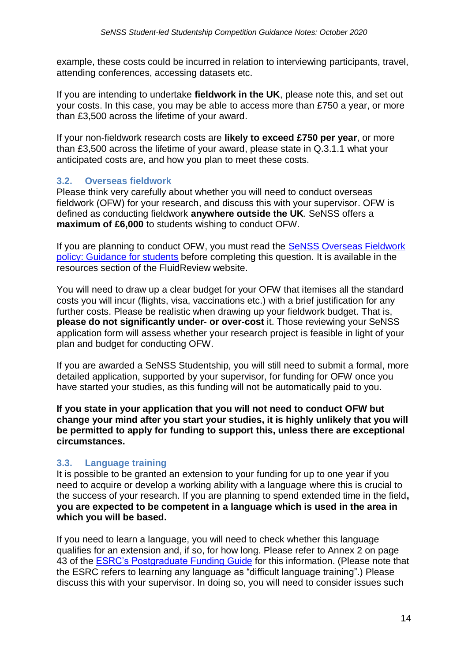example, these costs could be incurred in relation to interviewing participants, travel, attending conferences, accessing datasets etc.

If you are intending to undertake **fieldwork in the UK**, please note this, and set out your costs. In this case, you may be able to access more than £750 a year, or more than £3,500 across the lifetime of your award.

If your non-fieldwork research costs are **likely to exceed £750 per year**, or more than £3,500 across the lifetime of your award, please state in Q.3.1.1 what your anticipated costs are, and how you plan to meet these costs.

### <span id="page-13-0"></span>**3.2. Overseas fieldwork**

Please think very carefully about whether you will need to conduct overseas fieldwork (OFW) for your research, and discuss this with your supervisor. OFW is defined as conducting fieldwork **anywhere outside the UK**. SeNSS offers a **maximum of £6,000** to students wishing to conduct OFW.

If you are planning to conduct OFW, you must read the [SeNSS Overseas Fieldwork](https://senss.fluidreview.com/pm/resource/eyJoZnJlIjogOTUwNjc0MTEsICJ2cSI6IDE1Mzg3MH0/)  [policy: Guidance for students](https://senss.fluidreview.com/pm/resource/eyJoZnJlIjogOTUwNjc0MTEsICJ2cSI6IDE1Mzg3MH0/) before completing this question. It is available in the resources section of the FluidReview website.

You will need to draw up a clear budget for your OFW that itemises all the standard costs you will incur (flights, visa, vaccinations etc.) with a brief justification for any further costs. Please be realistic when drawing up your fieldwork budget. That is, **please do not significantly under- or over-cost** it. Those reviewing your SeNSS application form will assess whether your research project is feasible in light of your plan and budget for conducting OFW.

If you are awarded a SeNSS Studentship, you will still need to submit a formal, more detailed application, supported by your supervisor, for funding for OFW once you have started your studies, as this funding will not be automatically paid to you.

**If you state in your application that you will not need to conduct OFW but change your mind after you start your studies, it is highly unlikely that you will be permitted to apply for funding to support this, unless there are exceptional circumstances.** 

## <span id="page-13-1"></span>**3.3. Language training**

It is possible to be granted an extension to your funding for up to one year if you need to acquire or develop a working ability with a language where this is crucial to the success of your research. If you are planning to spend extended time in the field**, you are expected to be competent in a language which is used in the area in which you will be based.**

If you need to learn a language, you will need to check whether this language qualifies for an extension and, if so, for how long. Please refer to Annex 2 on page 43 of the [ESRC's Postgraduate Funding](http://www.esrc.ac.uk/files/skills-and-careers/Studentships/postgraduate-funding-guide-for-accredited-doctoral-training-centres/) Guide for this information. (Please note that the ESRC refers to learning any language as "difficult language training".) Please discuss this with your supervisor. In doing so, you will need to consider issues such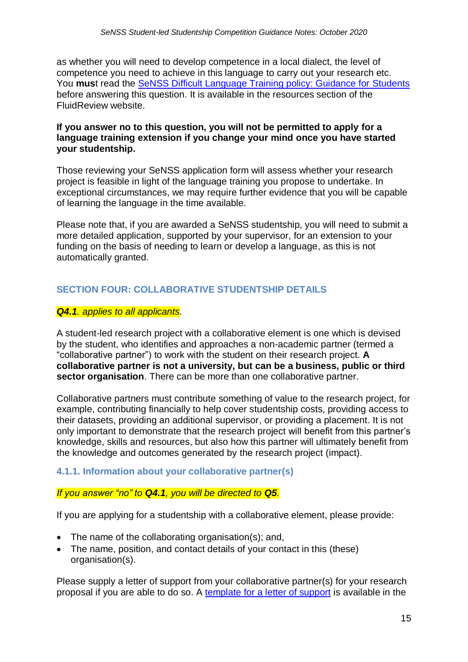as whether you will need to develop competence in a local dialect, the level of competence you need to achieve in this language to carry out your research etc. You **mus**t read the [SeNSS Difficult Language Training policy: Guidance for Students](https://senss.fluidreview.com/pm/resource/eyJoZnJlIjogOTUwNjc0MTEsICJ2cSI6IDE1Mzg3M30/) before answering this question. It is available in the resources section of the FluidReview website.

#### **If you answer no to this question, you will not be permitted to apply for a language training extension if you change your mind once you have started your studentship.**

Those reviewing your SeNSS application form will assess whether your research project is feasible in light of the language training you propose to undertake. In exceptional circumstances, we may require further evidence that you will be capable of learning the language in the time available.

Please note that, if you are awarded a SeNSS studentship, you will need to submit a more detailed application, supported by your supervisor, for an extension to your funding on the basis of needing to learn or develop a language, as this is not automatically granted.

## <span id="page-14-0"></span>**SECTION FOUR: COLLABORATIVE STUDENTSHIP DETAILS**

#### *Q4.1. applies to all applicants.*

A student-led research project with a collaborative element is one which is devised by the student, who identifies and approaches a non-academic partner (termed a "collaborative partner") to work with the student on their research project. **A collaborative partner is not a university, but can be a business, public or third sector organisation**. There can be more than one collaborative partner.

Collaborative partners must contribute something of value to the research project, for example, contributing financially to help cover studentship costs, providing access to their datasets, providing an additional supervisor, or providing a placement. It is not only important to demonstrate that the research project will benefit from this partner's knowledge, skills and resources, but also how this partner will ultimately benefit from the knowledge and outcomes generated by the research project (impact).

#### <span id="page-14-1"></span>**4.1.1. Information about your collaborative partner(s)**

#### *If you answer "no" to Q4.1, you will be directed to Q5.*

If you are applying for a studentship with a collaborative element, please provide:

- The name of the collaborating organisation(s); and,
- The name, position, and contact details of your contact in this (these) organisation(s).

Please supply a letter of support from your collaborative partner(s) for your research proposal if you are able to do so. A [template for a letter of support](https://senss.fluidreview.com/pm/resource/eyJoZnJlIjogOTUwNjc0MTEsICJ2cSI6IDE1Mzk4M30/) is available in the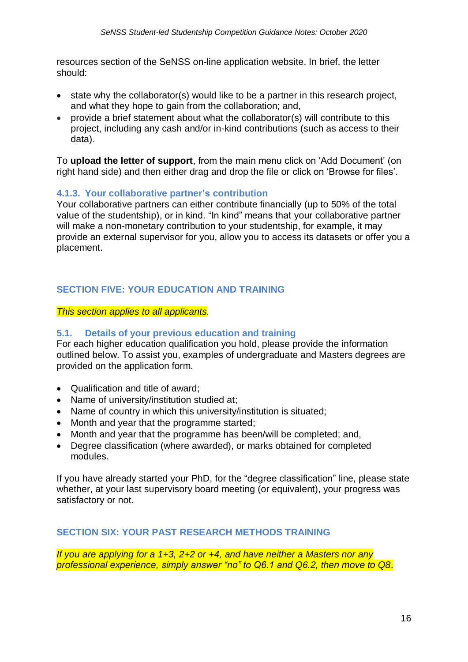resources section of the SeNSS on-line application website. In brief, the letter should:

- state why the collaborator(s) would like to be a partner in this research project, and what they hope to gain from the collaboration; and,
- provide a brief statement about what the collaborator(s) will contribute to this project, including any cash and/or in-kind contributions (such as access to their data).

To **upload the letter of support**, from the main menu click on 'Add Document' (on right hand side) and then either drag and drop the file or click on 'Browse for files'.

### <span id="page-15-0"></span>**4.1.3. Your collaborative partner's contribution**

Your collaborative partners can either contribute financially (up to 50% of the total value of the studentship), or in kind. "In kind" means that your collaborative partner will make a non-monetary contribution to your studentship, for example, it may provide an external supervisor for you, allow you to access its datasets or offer you a placement.

## <span id="page-15-1"></span>**SECTION FIVE: YOUR EDUCATION AND TRAINING**

*This section applies to all applicants.*

## <span id="page-15-2"></span>**5.1. Details of your previous education and training**

For each higher education qualification you hold, please provide the information outlined below. To assist you, examples of undergraduate and Masters degrees are provided on the application form.

- Qualification and title of award;
- Name of university/institution studied at;
- Name of country in which this university/institution is situated;
- Month and year that the programme started;
- Month and year that the programme has been/will be completed; and,
- Degree classification (where awarded), or marks obtained for completed modules.

If you have already started your PhD, for the "degree classification" line, please state whether, at your last supervisory board meeting (or equivalent), your progress was satisfactory or not.

#### <span id="page-15-3"></span>**SECTION SIX: YOUR PAST RESEARCH METHODS TRAINING**

*If you are applying for a 1+3, 2+2 or +4, and have neither a Masters nor any professional experience, simply answer "no" to Q6.1 and Q6.2, then move to Q8*.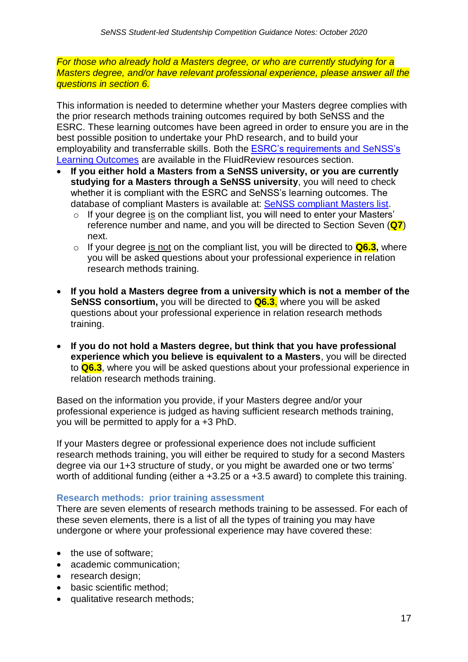*For those who already hold a Masters degree, or who are currently studying for a Masters degree, and/or have relevant professional experience, please answer all the questions in section 6.*

This information is needed to determine whether your Masters degree complies with the prior research methods training outcomes required by both SeNSS and the ESRC. These learning outcomes have been agreed in order to ensure you are in the best possible position to undertake your PhD research, and to build your employability and transferrable skills. Both the [ESRC's requirements and SeNSS's](https://senss.fluidreview.com/pm/resource/eyJoZnJlIjogOTUwNjc0MTEsICJ2cSI6IDE1Mzg4Mn0/) [Learning Outcomes](https://senss.fluidreview.com/pm/resource/eyJoZnJlIjogOTUwNjc0MTEsICJ2cSI6IDE1Mzg4Mn0/) are available in the FluidReview resources section.

- **If you either hold a Masters from a SeNSS university, or you are currently studying for a Masters through a SeNSS university**, you will need to check whether it is compliant with the ESRC and SeNSS's learning outcomes. The database of compliant Masters is available at: [SeNSS compliant Masters list.](https://admin30198.wixsite.com/compliance)
	- o If your degree is on the compliant list, you will need to enter your Masters' reference number and name, and you will be directed to Section Seven (**Q7**) next.
	- o If your degree is not on the compliant list, you will be directed to **Q6.3,** where you will be asked questions about your professional experience in relation research methods training.
- **If you hold a Masters degree from a university which is not a member of the SeNSS consortium,** you will be directed to **Q6.3**, where you will be asked questions about your professional experience in relation research methods training.
- **If you do not hold a Masters degree, but think that you have professional experience which you believe is equivalent to a Masters**, you will be directed to **Q6.3**, where you will be asked questions about your professional experience in relation research methods training.

Based on the information you provide, if your Masters degree and/or your professional experience is judged as having sufficient research methods training, you will be permitted to apply for a +3 PhD.

If your Masters degree or professional experience does not include sufficient research methods training, you will either be required to study for a second Masters degree via our 1+3 structure of study, or you might be awarded one or two terms' worth of additional funding (either a +3.25 or a +3.5 award) to complete this training.

#### <span id="page-16-0"></span>**Research methods: prior training assessment**

There are seven elements of research methods training to be assessed. For each of these seven elements, there is a list of all the types of training you may have undergone or where your professional experience may have covered these:

- the use of software;
- academic communication;
- research design;
- basic scientific method;
- qualitative research methods;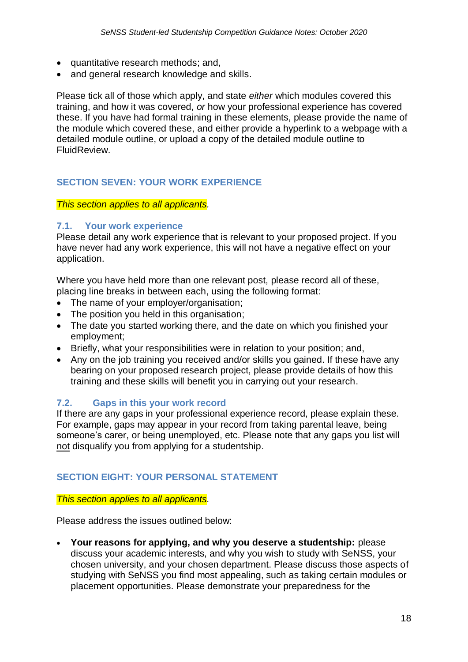- quantitative research methods; and,
- and general research knowledge and skills.

Please tick all of those which apply, and state *either* which modules covered this training, and how it was covered, *or* how your professional experience has covered these. If you have had formal training in these elements, please provide the name of the module which covered these, and either provide a hyperlink to a webpage with a detailed module outline, or upload a copy of the detailed module outline to FluidReview.

### <span id="page-17-0"></span>**SECTION SEVEN: YOUR WORK EXPERIENCE**

#### *This section applies to all applicants.*

#### <span id="page-17-1"></span>**7.1. Your work experience**

Please detail any work experience that is relevant to your proposed project. If you have never had any work experience, this will not have a negative effect on your application.

Where you have held more than one relevant post, please record all of these, placing line breaks in between each, using the following format:

- The name of your employer/organisation;
- The position you held in this organisation:
- The date you started working there, and the date on which you finished your employment;
- Briefly, what your responsibilities were in relation to your position; and,
- Any on the job training you received and/or skills you gained. If these have any bearing on your proposed research project, please provide details of how this training and these skills will benefit you in carrying out your research.

#### <span id="page-17-2"></span>**7.2. Gaps in this your work record**

If there are any gaps in your professional experience record, please explain these. For example, gaps may appear in your record from taking parental leave, being someone's carer, or being unemployed, etc. Please note that any gaps you list will not disqualify you from applying for a studentship.

#### <span id="page-17-3"></span>**SECTION EIGHT: YOUR PERSONAL STATEMENT**

#### *This section applies to all applicants.*

Please address the issues outlined below:

 **Your reasons for applying, and why you deserve a studentship:** please discuss your academic interests, and why you wish to study with SeNSS, your chosen university, and your chosen department. Please discuss those aspects of studying with SeNSS you find most appealing, such as taking certain modules or placement opportunities. Please demonstrate your preparedness for the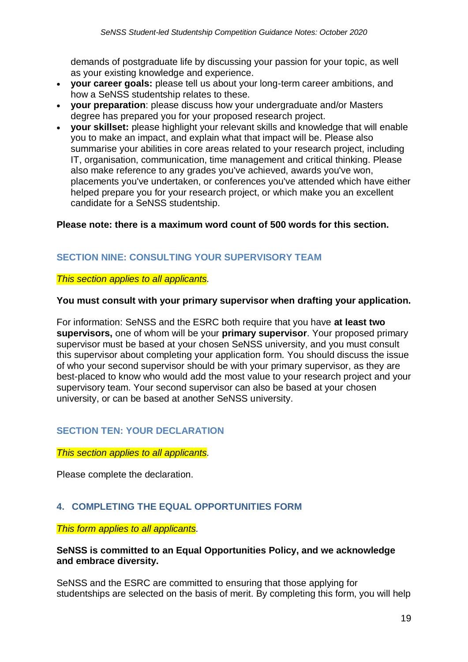demands of postgraduate life by discussing your passion for your topic, as well as your existing knowledge and experience.

- **your career goals:** please tell us about your long-term career ambitions, and how a SeNSS studentship relates to these.
- **your preparation**: please discuss how your undergraduate and/or Masters degree has prepared you for your proposed research project.
- **your skillset:** please highlight your relevant skills and knowledge that will enable you to make an impact, and explain what that impact will be. Please also summarise your abilities in core areas related to your research project, including IT, organisation, communication, time management and critical thinking. Please also make reference to any grades you've achieved, awards you've won, placements you've undertaken, or conferences you've attended which have either helped prepare you for your research project, or which make you an excellent candidate for a SeNSS studentship.

### **Please note: there is a maximum word count of 500 words for this section.**

## <span id="page-18-0"></span>**SECTION NINE: CONSULTING YOUR SUPERVISORY TEAM**

#### *This section applies to all applicants.*

#### **You must consult with your primary supervisor when drafting your application.**

For information: SeNSS and the ESRC both require that you have **at least two supervisors,** one of whom will be your **primary supervisor**. Your proposed primary supervisor must be based at your chosen SeNSS university, and you must consult this supervisor about completing your application form. You should discuss the issue of who your second supervisor should be with your primary supervisor, as they are best-placed to know who would add the most value to your research project and your supervisory team. Your second supervisor can also be based at your chosen university, or can be based at another SeNSS university.

## <span id="page-18-1"></span>**SECTION TEN: YOUR DECLARATION**

#### *This section applies to all applicants.*

Please complete the declaration.

## <span id="page-18-2"></span>**4. COMPLETING THE EQUAL OPPORTUNITIES FORM**

#### *This form applies to all applicants.*

#### **SeNSS is committed to an Equal Opportunities Policy, and we acknowledge and embrace diversity.**

SeNSS and the ESRC are committed to ensuring that those applying for studentships are selected on the basis of merit. By completing this form, you will help